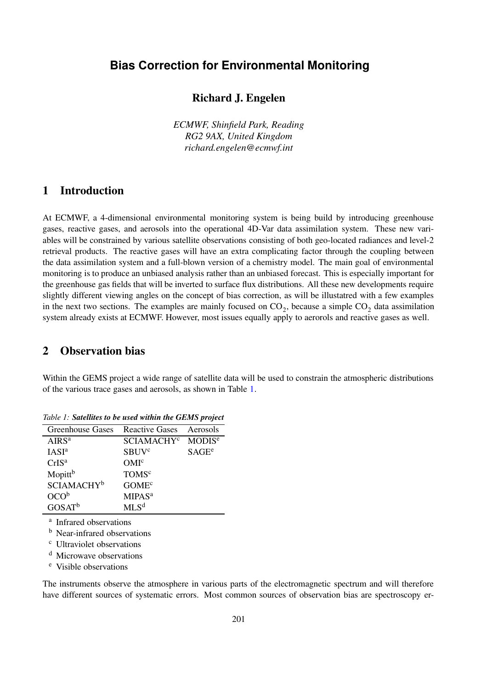# **Bias Correction for Environmental Monitoring**

## **Richard J. Engelen**

*ECMWF, Shinfield Park, Reading RG2 9AX, United Kingdom richard.engelen@ecmwf.int*

# **1 Introduction**

At ECMWF, a 4-dimensional environmental monitoring system is being build by introducing greenhouse gases, reactive gases, and aerosols into the operational 4D-Var data assimilation system. These new variables will be constrained by various satellite observations consisting of both geo-located radiances and level-2 retrieval products. The reactive gases will have an extra complicating factor through the coupling between the data assimilation system and a full-blown version of a chemistry model. The main goal of environmental monitoring is to produce an unbiased analysis rather than an unbiased forecast. This is especially important for the greenhouse gas fields that will be inverted to surface flux distributions. All these new developments require slightly different viewing angles on the concept of bias correction, as will be illustatred with a few examples in the next two sections. The examples are mainly focused on  $CO_2$ , because a simple  $CO_2$  data assimilation system already exists at ECMWF. However, most issues equally apply to aerorols and reactive gases as well.

### <span id="page-0-0"></span>**2 Observation bias**

Within the GEMS project a wide range of satellite data will be used to constrain the atmospheric distributions of the various trace gases and aerosols, as shown in Table [1.](#page-0-0)

| Greenhouse Gases              | Reactive Gases               | Aerosols           |
|-------------------------------|------------------------------|--------------------|
| AIRS <sup>a</sup>             | <b>SCIAMACHY<sup>c</sup></b> | MODIS <sup>e</sup> |
| <b>IASI</b> <sup>a</sup>      | <b>SBUV<sup>c</sup></b>      | SAGE <sup>e</sup>  |
| CrIS <sup>a</sup>             | OMI <sup>c</sup>             |                    |
| Mopitt <sup>b</sup>           | <b>TOMS</b> <sup>c</sup>     |                    |
| <b>SCIAMACHY</b> <sup>b</sup> | GOME <sup>c</sup>            |                    |
| OCO <sup>b</sup>              | <b>MIPAS<sup>a</sup></b>     |                    |
| $GOSAT^b$                     | MLS <sup>d</sup>             |                    |

*Table 1: Satellites to be used within the GEMS project*

a Infrared observations

<sup>b</sup> Near-infrared observations

<sup>c</sup> Ultraviolet observations

<sup>d</sup> Microwave observations

<sup>e</sup> Visible observations

The instruments observe the atmosphere in various parts of the electromagnetic spectrum and will therefore have different sources of systematic errors. Most common sources of observation bias are spectroscopy er-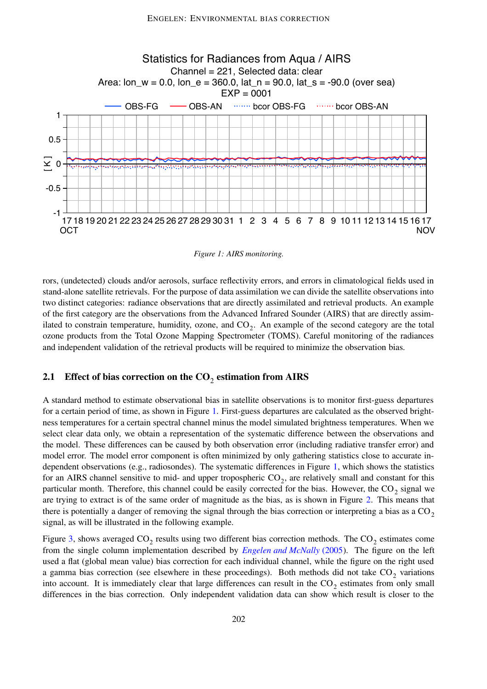

<span id="page-1-0"></span>*Figure 1: AIRS monitoring.*

rors, (undetected) clouds and/or aerosols, surface reflectivity errors, and errors in climatological fields used in stand-alone satellite retrievals. For the purpose of data assimilation we can divide the satellite observations into two distinct categories: radiance observations that are directly assimilated and retrieval products. An example of the first category are the observations from the Advanced Infrared Sounder (AIRS) that are directly assimilated to constrain temperature, humidity, ozone, and  $CO_2$ . An example of the second category are the total ozone products from the Total Ozone Mapping Spectrometer (TOMS). Careful monitoring of the radiances and independent validation of the retrieval products will be required to minimize the observation bias.

# **2.1 Effect of bias correction on the CO**<sup>2</sup> **estimation from AIRS**

A standard method to estimate observational bias in satellite observations is to monitor first-guess departures for a certain period of time, as shown in Figure [1.](#page-1-0) First-guess departures are calculated as the observed brightness temperatures for a certain spectral channel minus the model simulated brightness temperatures. When we select clear data only, we obtain a representation of the systematic difference between the observations and the model. These differences can be caused by both observation error (including radiative transfer error) and model error. The model error component is often minimized by only gathering statistics close to accurate independent observations (e.g., radiosondes). The systematic differences in Figure [1,](#page-1-0) which shows the statistics for an AIRS channel sensitive to mid- and upper tropospheric  $CO_2$ , are relatively small and constant for this particular month. Therefore, this channel could be easily corrected for the bias. However, the  $CO_2$  signal we are trying to extract is of the same order of magnitude as the bias, as is shown in Figure [2.](#page-2-0) This means that there is potentially a danger of removing the signal through the bias correction or interpreting a bias as a  $CO<sub>2</sub>$ signal, as will be illustrated in the following example.

Figure [3,](#page-2-1) shows averaged  $CO_2$  results using two different bias correction methods. The  $CO_2$  estimates come from the single column implementation described by *Engelen and [McNally](#page-4-0)* (2005). The figure on the left used a flat (global mean value) bias correction for each individual channel, while the figure on the right used a gamma bias correction (see elsewhere in these proceedings). Both methods did not take  $CO_2$  variations into account. It is immediately clear that large differences can result in the  $CO_2$  estimates from only small differences in the bias correction. Only independent validation data can show which result is closer to the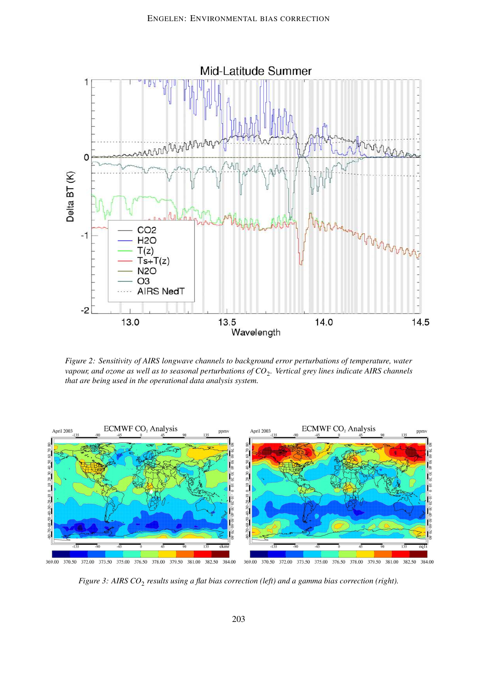

<span id="page-2-0"></span>*Figure 2: Sensitivity of AIRS longwave channels to background error perturbations of temperature, water* vapour, and ozone as well as to seasonal perturbations of  ${CO}_2$ . Vertical grey lines indicate AIRS channels *that are being used in the operational data analysis system.*



369.00 370.50 372.00 373.50 375.00 376.50 378.00 379.50 381.00 382.50 384.00 369.00 370.50 372.00 373.50 375.00 376.50 381.00 382.50 384.00 378.00 379.50

<span id="page-2-1"></span>*Figure 3: AIRS CO*<sup>2</sup> *results using a flat bias correction (left) and a gamma bias correction (right).*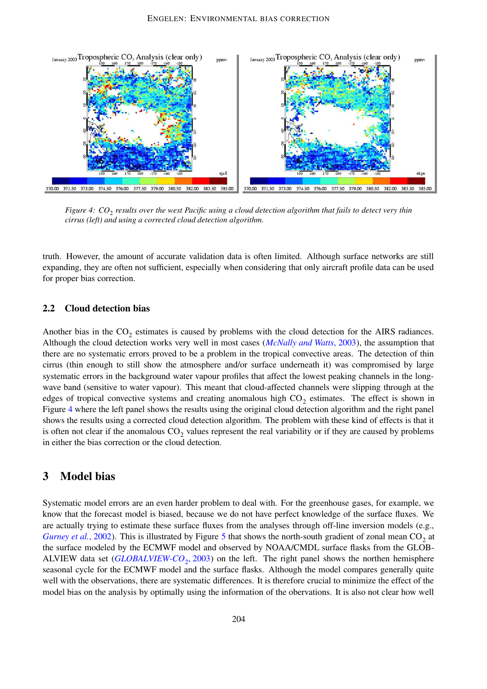

<span id="page-3-0"></span>Figure 4:  $CO_2$  results over the west Pacific using a cloud detection algorithm that fails to detect very thin *cirrus (left) and using a corrected cloud detection algorithm.*

truth. However, the amount of accurate validation data is often limited. Although surface networks are still expanding, they are often not sufficient, especially when considering that only aircraft profile data can be used for proper bias correction.

#### **2.2 Cloud detection bias**

Another bias in the  $CO_2$  estimates is caused by problems with the cloud detection for the AIRS radiances. Although the cloud detection works very well in most cases (*[McNally](#page-5-0) and Watts*, 2003), the assumption that there are no systematic errors proved to be a problem in the tropical convective areas. The detection of thin cirrus (thin enough to still show the atmosphere and/or surface underneath it) was compromised by large systematic errors in the background water vapour profiles that affect the lowest peaking channels in the longwave band (sensitive to water vapour). This meant that cloud-affected channels were slipping through at the edges of tropical convective systems and creating anomalous high  $CO_2$  estimates. The effect is shown in Figure [4](#page-3-0) where the left panel shows the results using the original cloud detection algorithm and the right panel shows the results using a corrected cloud detection algorithm. The problem with these kind of effects is that it is often not clear if the anomalous  $CO_2$  values represent the real variability or if they are caused by problems in either the bias correction or the cloud detection.

### **3 Model bias**

Systematic model errors are an even harder problem to deal with. For the greenhouse gases, for example, we know that the forecast model is biased, because we do not have perfect knowledge of the surface fluxes. We are actually trying to estimate these surface fluxes from the analyses through off-line inversion models (e.g., *[Gurney](#page-4-1) et al.*, 2002). This is illustrated by Figure [5](#page-4-2) that shows the north-south gradient of zonal mean  $CO_2$  at the surface modeled by the ECMWF model and observed by NOAA/CMDL surface flasks from the GLOB-ALVIEW data set (*[GLOBALVIEW-CO](#page-4-3)*<sup>2</sup> , 2003) on the left. The right panel shows the northen hemisphere seasonal cycle for the ECMWF model and the surface flasks. Although the model compares generally quite well with the observations, there are systematic differences. It is therefore crucial to minimize the effect of the model bias on the analysis by optimally using the information of the obervations. It is also not clear how well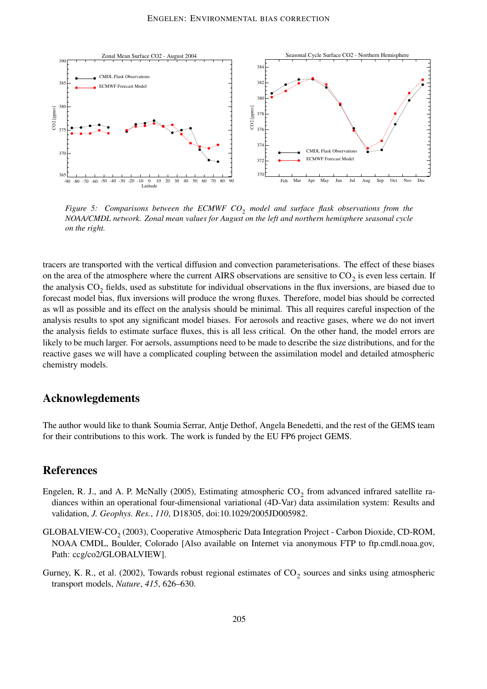

<span id="page-4-2"></span>*Figure 5: Comparisons between the ECMWF CO*<sup>2</sup> *model and surface flask observations from the NOAA/CMDL network. Zonal mean values for August on the left and northern hemisphere seasonal cycle on the right.*

tracers are transported with the vertical diffusion and convection parameterisations. The effect of these biases on the area of the atmosphere where the current AIRS observations are sensitive to  $CO_2$  is even less certain. If the analysis  $CO_2$  fields, used as substitute for individual observations in the flux inversions, are biased due to forecast model bias, flux inversions will produce the wrong fluxes. Therefore, model bias should be corrected as wll as possible and its effect on the analysis should be minimal. This all requires careful inspection of the analysis results to spot any significant model biases. For aerosols and reactive gases, where we do not invert the analysis fields to estimate surface fluxes, this is all less critical. On the other hand, the model errors are likely to be much larger. For aersols, assumptions need to be made to describe the size distributions, and for the reactive gases we will have a complicated coupling between the assimilation model and detailed atmospheric chemistry models.

## **Acknowlegdements**

The author would like to thank Soumia Serrar, Antje Dethof, Angela Benedetti, and the rest of the GEMS team for their contributions to this work. The work is funded by the EU FP6 project GEMS.

# **References**

- <span id="page-4-0"></span>Engelen, R. J., and A. P. McNally (2005), Estimating atmospheric  $CO_2$  from advanced infrared satellite radiances within an operational four-dimensional variational (4D-Var) data assimilation system: Results and validation, *J. Geophys. Res.*, *110*, D18305, doi:10.1029/2005JD005982.
- <span id="page-4-3"></span> $GLOBALVIEW-CO<sub>2</sub> (2003)$ , Cooperative Atmospheric Data Integration Project - Carbon Dioxide, CD-ROM, NOAA CMDL, Boulder, Colorado [Also available on Internet via anonymous FTP to ftp.cmdl.noaa.gov, Path: ccg/co2/GLOBALVIEW].
- <span id="page-4-1"></span>Gurney, K. R., et al. (2002), Towards robust regional estimates of  $CO_2$  sources and sinks using atmospheric transport models, *Nature*, *415*, 626–630.